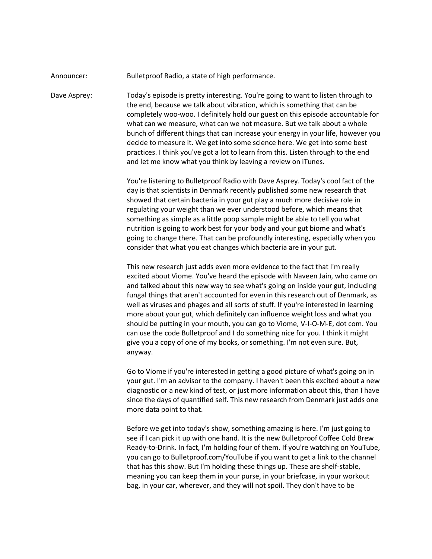## Announcer: Bulletproof Radio, a state of high performance.

Dave Asprey: Today's episode is pretty interesting. You're going to want to listen through to the end, because we talk about vibration, which is something that can be completely woo-woo. I definitely hold our guest on this episode accountable for what can we measure, what can we not measure. But we talk about a whole bunch of different things that can increase your energy in your life, however you decide to measure it. We get into some science here. We get into some best practices. I think you've got a lot to learn from this. Listen through to the end and let me know what you think by leaving a review on iTunes.

> You're listening to Bulletproof Radio with Dave Asprey. Today's cool fact of the day is that scientists in Denmark recently published some new research that showed that certain bacteria in your gut play a much more decisive role in regulating your weight than we ever understood before, which means that something as simple as a little poop sample might be able to tell you what nutrition is going to work best for your body and your gut biome and what's going to change there. That can be profoundly interesting, especially when you consider that what you eat changes which bacteria are in your gut.

> This new research just adds even more evidence to the fact that I'm really excited about Viome. You've heard the episode with Naveen Jain, who came on and talked about this new way to see what's going on inside your gut, including fungal things that aren't accounted for even in this research out of Denmark, as well as viruses and phages and all sorts of stuff. If you're interested in learning more about your gut, which definitely can influence weight loss and what you should be putting in your mouth, you can go to Viome, V-I-O-M-E, dot com. You can use the code Bulletproof and I do something nice for you. I think it might give you a copy of one of my books, or something. I'm not even sure. But, anyway.

> Go to Viome if you're interested in getting a good picture of what's going on in your gut. I'm an advisor to the company. I haven't been this excited about a new diagnostic or a new kind of test, or just more information about this, than I have since the days of quantified self. This new research from Denmark just adds one more data point to that.

> Before we get into today's show, something amazing is here. I'm just going to see if I can pick it up with one hand. It is the new Bulletproof Coffee Cold Brew Ready-to-Drink. In fact, I'm holding four of them. If you're watching on YouTube, you can go to Bulletproof.com/YouTube if you want to get a link to the channel that has this show. But I'm holding these things up. These are shelf-stable, meaning you can keep them in your purse, in your briefcase, in your workout bag, in your car, wherever, and they will not spoil. They don't have to be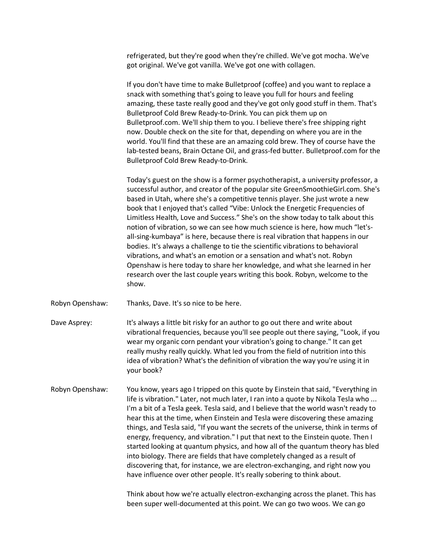refrigerated, but they're good when they're chilled. We've got mocha. We've got original. We've got vanilla. We've got one with collagen.

If you don't have time to make Bulletproof (coffee) and you want to replace a snack with something that's going to leave you full for hours and feeling amazing, these taste really good and they've got only good stuff in them. That's Bulletproof Cold Brew Ready-to-Drink. You can pick them up on Bullet proof.com. We'll ship them to you. I believe there's free shipping right now. Double check on the site for that, depending on where you are in the world. You'll find that these are an amazing cold brew. They of course have the lab-tested beans, Brain Octane Oil, and grass-fed butter. Bulletproof.com for the Bulletproof Cold Brew Ready-to-Drink.

Today's guest on the show is a former psychotherapist, a university professor, a successful author, and creator of the popular site GreenSmoothieGirl.com. She's based in Utah, where she's a competitive tennis player. She just wrote a new book that I enjoyed that's called "Vibe: Unlock the Energetic Frequencies of Limitless Health, Love and Success." She's on the show today to talk about this notion of vibration, so we can see how much science is here, how much "let'sall-sing-kumbaya" is here, because there is real vibration that happens in our bodies. It's always a challenge to tie the scientific vibrations to behavioral vibrations, and what's an emotion or a sensation and what's not. Robyn Openshaw is here today to share her knowledge, and what she learned in her research over the last couple years writing this book. Robyn, welcome to the show.

Robyn Openshaw: Thanks, Dave. It's so nice to be here.

- Dave Asprey: It's always a little bit risky for an author to go out there and write about vibrational frequencies, because you'll see people out there saying, "Look, if you wear my organic corn pendant your vibration's going to change." It can get really mushy really quickly. What led you from the field of nutrition into this idea of vibration? What's the definition of vibration the way you're using it in your book?
- Robyn Openshaw: You know, years ago I tripped on this quote by Einstein that said, "Everything in life is vibration." Later, not much later, I ran into a quote by Nikola Tesla who ... I'm a bit of a Tesla geek. Tesla said, and I believe that the world wasn't ready to hear this at the time, when Einstein and Tesla were discovering these amazing things, and Tesla said, "If you want the secrets of the universe, think in terms of energy, frequency, and vibration." I put that next to the Einstein quote. Then I started looking at quantum physics, and how all of the quantum theory has bled into biology. There are fields that have completely changed as a result of discovering that, for instance, we are electron-exchanging, and right now you have influence over other people. It's really sobering to think about.

Think about how we're actually electron-exchanging across the planet. This has been super well-documented at this point. We can go two woos. We can go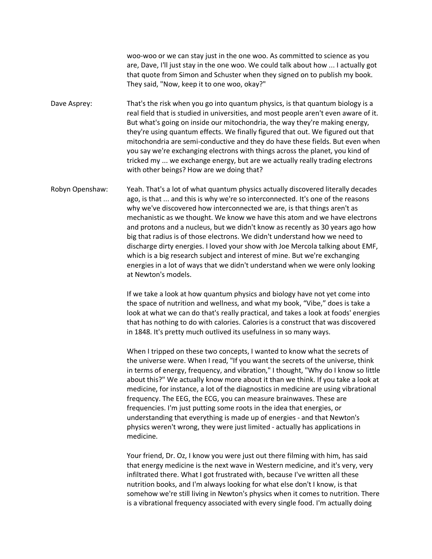woo-woo or we can stay just in the one woo. As committed to science as you are, Dave, I'll just stay in the one woo. We could talk about how ... I actually got that quote from Simon and Schuster when they signed on to publish my book. They said, "Now, keep it to one woo, okay?"

Dave Asprey: That's the risk when you go into quantum physics, is that quantum biology is a real field that is studied in universities, and most people aren't even aware of it. But what's going on inside our mitochondria, the way they're making energy, they're using quantum effects. We finally figured that out. We figured out that mitochondria are semi-conductive and they do have these fields. But even when you say we're exchanging electrons with things across the planet, you kind of tricked my ... we exchange energy, but are we actually really trading electrons with other beings? How are we doing that?

Robyn Openshaw: Yeah. That's a lot of what quantum physics actually discovered literally decades ago, is that ... and this is why we're so interconnected. It's one of the reasons why we've discovered how interconnected we are, is that things aren't as mechanistic as we thought. We know we have this atom and we have electrons and protons and a nucleus, but we didn't know as recently as 30 years ago how big that radius is of those electrons. We didn't understand how we need to discharge dirty energies. I loved your show with Joe Mercola talking about EMF, which is a big research subject and interest of mine. But we're exchanging energies in a lot of ways that we didn't understand when we were only looking at Newton's models.

> If we take a look at how quantum physics and biology have not yet come into the space of nutrition and wellness, and what my book, "Vibe," does is take a look at what we can do that's really practical, and takes a look at foods' energies that has nothing to do with calories. Calories is a construct that was discovered in 1848. It's pretty much outlived its usefulness in so many ways.

> When I tripped on these two concepts, I wanted to know what the secrets of the universe were. When I read, "If you want the secrets of the universe, think in terms of energy, frequency, and vibration," I thought, "Why do I know so little about this?" We actually know more about it than we think. If you take a look at medicine, for instance, a lot of the diagnostics in medicine are using vibrational frequency. The EEG, the ECG, you can measure brainwaves. These are frequencies. I'm just putting some roots in the idea that energies, or understanding that everything is made up of energies - and that Newton's physics weren't wrong, they were just limited - actually has applications in medicine.

> Your friend, Dr. Oz, I know you were just out there filming with him, has said that energy medicine is the next wave in Western medicine, and it's very, very infiltrated there. What I got frustrated with, because I've written all these nutrition books, and I'm always looking for what else don't I know, is that somehow we're still living in Newton's physics when it comes to nutrition. There is a vibrational frequency associated with every single food. I'm actually doing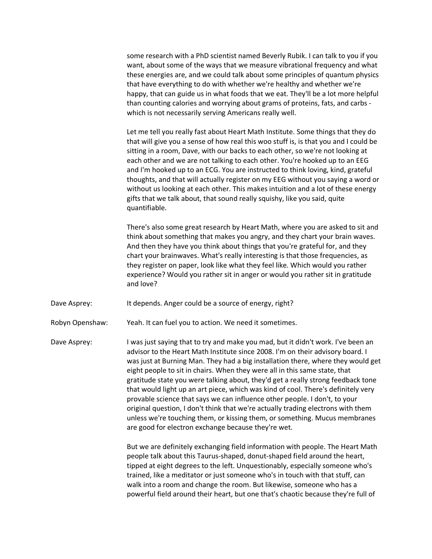some research with a PhD scientist named Beverly Rubik. I can talk to you if you want, about some of the ways that we measure vibrational frequency and what these energies are, and we could talk about some principles of quantum physics that have everything to do with whether we're healthy and whether we're happy, that can guide us in what foods that we eat. They'll be a lot more helpful than counting calories and worrying about grams of proteins, fats, and carbs which is not necessarily serving Americans really well.

Let me tell you really fast about Heart Math Institute. Some things that they do that will give you a sense of how real this woo stuff is, is that you and I could be sitting in a room, Dave, with our backs to each other, so we're not looking at each other and we are not talking to each other. You're hooked up to an EEG and I'm hooked up to an ECG. You are instructed to think loving, kind, grateful thoughts, and that will actually register on my EEG without you saying a word or without us looking at each other. This makes intuition and a lot of these energy gifts that we talk about, that sound really squishy, like you said, quite quantifiable.

There's also some great research by Heart Math, where you are asked to sit and think about something that makes you angry, and they chart your brain waves. And then they have you think about things that you're grateful for, and they chart your brainwaves. What's really interesting is that those frequencies, as they register on paper, look like what they feel like. Which would you rather experience? Would you rather sit in anger or would you rather sit in gratitude and love?

Dave Asprey: It depends. Anger could be a source of energy, right?

Robyn Openshaw: Yeah. It can fuel you to action. We need it sometimes.

Dave Asprey: I was just saying that to try and make you mad, but it didn't work. I've been an advisor to the Heart Math Institute since 2008. I'm on their advisory board. I was just at Burning Man. They had a big installation there, where they would get eight people to sit in chairs. When they were all in this same state, that gratitude state you were talking about, they'd get a really strong feedback tone that would light up an art piece, which was kind of cool. There's definitely very provable science that says we can influence other people. I don't, to your original question, I don't think that we're actually trading electrons with them unless we're touching them, or kissing them, or something. Mucus membranes are good for electron exchange because they're wet.

> But we are definitely exchanging field information with people. The Heart Math people talk about this Taurus-shaped, donut-shaped field around the heart, tipped at eight degrees to the left. Unquestionably, especially someone who's trained, like a meditator or just someone who's in touch with that stuff, can walk into a room and change the room. But likewise, someone who has a powerful field around their heart, but one that's chaotic because they're full of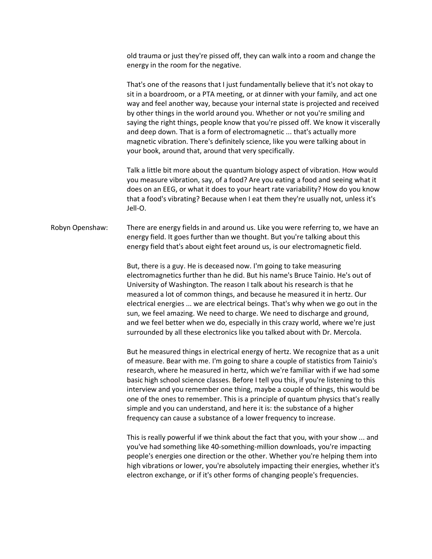old trauma or just they're pissed off, they can walk into a room and change the energy in the room for the negative.

That's one of the reasons that I just fundamentally believe that it's not okay to sit in a boardroom, or a PTA meeting, or at dinner with your family, and act one way and feel another way, because your internal state is projected and received by other things in the world around you. Whether or not you're smiling and saying the right things, people know that you're pissed off. We know it viscerally and deep down. That is a form of electromagnetic ... that's actually more magnetic vibration. There's definitely science, like you were talking about in your book, around that, around that very specifically.

Talk a little bit more about the quantum biology aspect of vibration. How would you measure vibration, say, of a food? Are you eating a food and seeing what it does on an EEG, or what it does to your heart rate variability? How do you know that a food's vibrating? Because when I eat them they're usually not, unless it's Jell-O.

Robyn Openshaw: There are energy fields in and around us. Like you were referring to, we have an energy field. It goes further than we thought. But you're talking about this energy field that's about eight feet around us, is our electromagnetic field.

> But, there is a guy. He is deceased now. I'm going to take measuring electromagnetics further than he did. But his name's Bruce Tainio. He's out of University of Washington. The reason I talk about his research is that he measured a lot of common things, and because he measured it in hertz. Our electrical energies ... we are electrical beings. That's why when we go out in the sun, we feel amazing. We need to charge. We need to discharge and ground, and we feel better when we do, especially in this crazy world, where we're just surrounded by all these electronics like you talked about with Dr. Mercola.

> But he measured things in electrical energy of hertz. We recognize that as a unit of measure. Bear with me. I'm going to share a couple of statistics from Tainio's research, where he measured in hertz, which we're familiar with if we had some basic high school science classes. Before I tell you this, if you're listening to this interview and you remember one thing, maybe a couple of things, this would be one of the ones to remember. This is a principle of quantum physics that's really simple and you can understand, and here it is: the substance of a higher frequency can cause a substance of a lower frequency to increase.

> This is really powerful if we think about the fact that you, with your show ... and you've had something like 40-something-million downloads, you're impacting people's energies one direction or the other. Whether you're helping them into high vibrations or lower, you're absolutely impacting their energies, whether it's electron exchange, or if it's other forms of changing people's frequencies.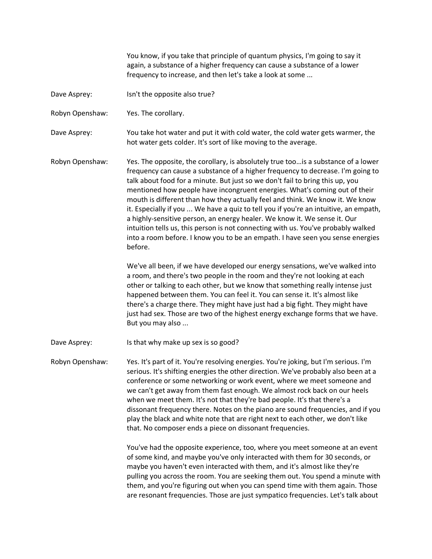You know, if you take that principle of quantum physics, I'm going to say it again, a substance of a higher frequency can cause a substance of a lower frequency to increase, and then let's take a look at some ...

Dave Asprey: Isn't the opposite also true?

Robyn Openshaw: Yes. The corollary.

Dave Asprey: You take hot water and put it with cold water, the cold water gets warmer, the hot water gets colder. It's sort of like moving to the average.

Robyn Openshaw: Yes. The opposite, the corollary, is absolutely true too... is a substance of a lower frequency can cause a substance of a higher frequency to decrease. I'm going to talk about food for a minute. But just so we don't fail to bring this up, you mentioned how people have incongruent energies. What's coming out of their mouth is different than how they actually feel and think. We know it. We know it. Especially if you ... We have a quiz to tell you if you're an intuitive, an empath, a highly-sensitive person, an energy healer. We know it. We sense it. Our intuition tells us, this person is not connecting with us. You've probably walked into a room before. I know you to be an empath. I have seen you sense energies before. 

> We've all been, if we have developed our energy sensations, we've walked into a room, and there's two people in the room and they're not looking at each other or talking to each other, but we know that something really intense just happened between them. You can feel it. You can sense it. It's almost like there's a charge there. They might have just had a big fight. They might have just had sex. Those are two of the highest energy exchange forms that we have. But you may also ...

Dave Asprey: Is that why make up sex is so good?

Robyn Openshaw: Yes. It's part of it. You're resolving energies. You're joking, but I'm serious. I'm serious. It's shifting energies the other direction. We've probably also been at a conference or some networking or work event, where we meet someone and we can't get away from them fast enough. We almost rock back on our heels when we meet them. It's not that they're bad people. It's that there's a dissonant frequency there. Notes on the piano are sound frequencies, and if you play the black and white note that are right next to each other, we don't like that. No composer ends a piece on dissonant frequencies.

> You've had the opposite experience, too, where you meet someone at an event of some kind, and maybe you've only interacted with them for 30 seconds, or maybe you haven't even interacted with them, and it's almost like they're pulling you across the room. You are seeking them out. You spend a minute with them, and you're figuring out when you can spend time with them again. Those are resonant frequencies. Those are just sympatico frequencies. Let's talk about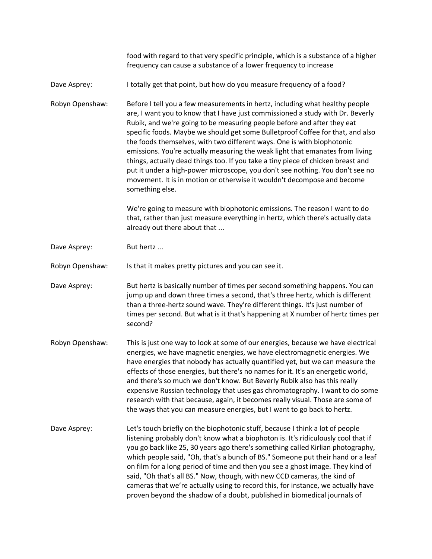|                 | food with regard to that very specific principle, which is a substance of a higher<br>frequency can cause a substance of a lower frequency to increase                                                                                                                                                                                                                                                                                                                                                                                                                                                                                                                                                                                                    |
|-----------------|-----------------------------------------------------------------------------------------------------------------------------------------------------------------------------------------------------------------------------------------------------------------------------------------------------------------------------------------------------------------------------------------------------------------------------------------------------------------------------------------------------------------------------------------------------------------------------------------------------------------------------------------------------------------------------------------------------------------------------------------------------------|
| Dave Asprey:    | I totally get that point, but how do you measure frequency of a food?                                                                                                                                                                                                                                                                                                                                                                                                                                                                                                                                                                                                                                                                                     |
| Robyn Openshaw: | Before I tell you a few measurements in hertz, including what healthy people<br>are, I want you to know that I have just commissioned a study with Dr. Beverly<br>Rubik, and we're going to be measuring people before and after they eat<br>specific foods. Maybe we should get some Bulletproof Coffee for that, and also<br>the foods themselves, with two different ways. One is with biophotonic<br>emissions. You're actually measuring the weak light that emanates from living<br>things, actually dead things too. If you take a tiny piece of chicken breast and<br>put it under a high-power microscope, you don't see nothing. You don't see no<br>movement. It is in motion or otherwise it wouldn't decompose and become<br>something else. |
|                 | We're going to measure with biophotonic emissions. The reason I want to do<br>that, rather than just measure everything in hertz, which there's actually data<br>already out there about that                                                                                                                                                                                                                                                                                                                                                                                                                                                                                                                                                             |
| Dave Asprey:    | But hertz                                                                                                                                                                                                                                                                                                                                                                                                                                                                                                                                                                                                                                                                                                                                                 |
| Robyn Openshaw: | Is that it makes pretty pictures and you can see it.                                                                                                                                                                                                                                                                                                                                                                                                                                                                                                                                                                                                                                                                                                      |
| Dave Asprey:    | But hertz is basically number of times per second something happens. You can<br>jump up and down three times a second, that's three hertz, which is different<br>than a three-hertz sound wave. They're different things. It's just number of<br>times per second. But what is it that's happening at X number of hertz times per<br>second?                                                                                                                                                                                                                                                                                                                                                                                                              |
| Robyn Openshaw: | This is just one way to look at some of our energies, because we have electrical<br>energies, we have magnetic energies, we have electromagnetic energies. We<br>have energies that nobody has actually quantified yet, but we can measure the<br>effects of those energies, but there's no names for it. It's an energetic world,<br>and there's so much we don't know. But Beverly Rubik also has this really<br>expensive Russian technology that uses gas chromatography. I want to do some<br>research with that because, again, it becomes really visual. Those are some of<br>the ways that you can measure energies, but I want to go back to hertz.                                                                                              |
| Dave Asprey:    | Let's touch briefly on the biophotonic stuff, because I think a lot of people<br>listening probably don't know what a biophoton is. It's ridiculously cool that if<br>you go back like 25, 30 years ago there's something called Kirlian photography,<br>which people said, "Oh, that's a bunch of BS." Someone put their hand or a leaf<br>on film for a long period of time and then you see a ghost image. They kind of<br>said, "Oh that's all BS." Now, though, with new CCD cameras, the kind of<br>cameras that we're actually using to record this, for instance, we actually have<br>proven beyond the shadow of a doubt, published in biomedical journals of                                                                                    |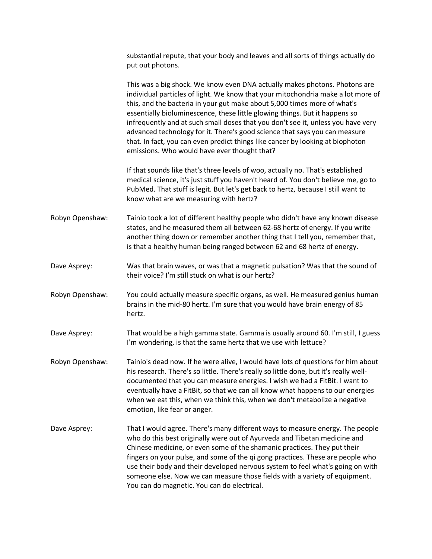|                 | substantial repute, that your body and leaves and all sorts of things actually do<br>put out photons.                                                                                                                                                                                                                                                                                                                                                                                                                                                                                                                         |
|-----------------|-------------------------------------------------------------------------------------------------------------------------------------------------------------------------------------------------------------------------------------------------------------------------------------------------------------------------------------------------------------------------------------------------------------------------------------------------------------------------------------------------------------------------------------------------------------------------------------------------------------------------------|
|                 | This was a big shock. We know even DNA actually makes photons. Photons are<br>individual particles of light. We know that your mitochondria make a lot more of<br>this, and the bacteria in your gut make about 5,000 times more of what's<br>essentially bioluminescence, these little glowing things. But it happens so<br>infrequently and at such small doses that you don't see it, unless you have very<br>advanced technology for it. There's good science that says you can measure<br>that. In fact, you can even predict things like cancer by looking at biophoton<br>emissions. Who would have ever thought that? |
|                 | If that sounds like that's three levels of woo, actually no. That's established<br>medical science, it's just stuff you haven't heard of. You don't believe me, go to<br>PubMed. That stuff is legit. But let's get back to hertz, because I still want to<br>know what are we measuring with hertz?                                                                                                                                                                                                                                                                                                                          |
| Robyn Openshaw: | Tainio took a lot of different healthy people who didn't have any known disease<br>states, and he measured them all between 62-68 hertz of energy. If you write<br>another thing down or remember another thing that I tell you, remember that,<br>is that a healthy human being ranged between 62 and 68 hertz of energy.                                                                                                                                                                                                                                                                                                    |
| Dave Asprey:    | Was that brain waves, or was that a magnetic pulsation? Was that the sound of<br>their voice? I'm still stuck on what is our hertz?                                                                                                                                                                                                                                                                                                                                                                                                                                                                                           |
| Robyn Openshaw: | You could actually measure specific organs, as well. He measured genius human<br>brains in the mid-80 hertz. I'm sure that you would have brain energy of 85<br>hertz.                                                                                                                                                                                                                                                                                                                                                                                                                                                        |
| Dave Asprey:    | That would be a high gamma state. Gamma is usually around 60. I'm still, I guess<br>I'm wondering, is that the same hertz that we use with lettuce?                                                                                                                                                                                                                                                                                                                                                                                                                                                                           |
| Robyn Openshaw: | Tainio's dead now. If he were alive, I would have lots of questions for him about<br>his research. There's so little. There's really so little done, but it's really well-<br>documented that you can measure energies. I wish we had a FitBit. I want to<br>eventually have a FitBit, so that we can all know what happens to our energies<br>when we eat this, when we think this, when we don't metabolize a negative<br>emotion, like fear or anger.                                                                                                                                                                      |
| Dave Asprey:    | That I would agree. There's many different ways to measure energy. The people<br>who do this best originally were out of Ayurveda and Tibetan medicine and<br>Chinese medicine, or even some of the shamanic practices. They put their<br>fingers on your pulse, and some of the qi gong practices. These are people who<br>use their body and their developed nervous system to feel what's going on with<br>someone else. Now we can measure those fields with a variety of equipment.<br>You can do magnetic. You can do electrical.                                                                                       |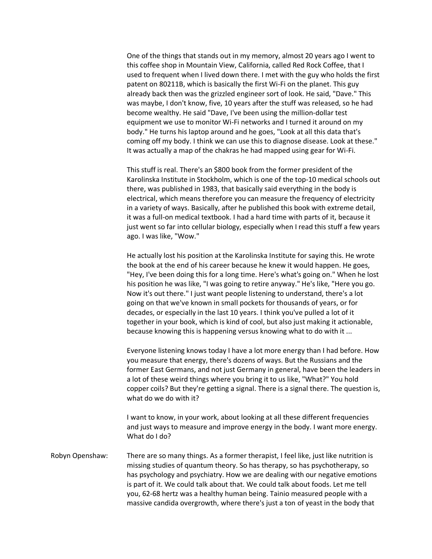One of the things that stands out in my memory, almost 20 years ago I went to this coffee shop in Mountain View, California, called Red Rock Coffee, that I used to frequent when I lived down there. I met with the guy who holds the first patent on 80211B, which is basically the first Wi-Fi on the planet. This guy already back then was the grizzled engineer sort of look. He said, "Dave." This was maybe, I don't know, five, 10 years after the stuff was released, so he had become wealthy. He said "Dave, I've been using the million-dollar test equipment we use to monitor Wi-Fi networks and I turned it around on my body." He turns his laptop around and he goes, "Look at all this data that's coming off my body. I think we can use this to diagnose disease. Look at these." It was actually a map of the chakras he had mapped using gear for Wi-Fi.

This stuff is real. There's an \$800 book from the former president of the Karolinska Institute in Stockholm, which is one of the top-10 medical schools out there, was published in 1983, that basically said everything in the body is electrical, which means therefore you can measure the frequency of electricity in a variety of ways. Basically, after he published this book with extreme detail, it was a full-on medical textbook. I had a hard time with parts of it, because it just went so far into cellular biology, especially when I read this stuff a few years ago. I was like, "Wow."

He actually lost his position at the Karolinska Institute for saying this. He wrote the book at the end of his career because he knew it would happen. He goes, "Hey, I've been doing this for a long time. Here's what's going on." When he lost his position he was like, "I was going to retire anyway." He's like, "Here you go. Now it's out there." I just want people listening to understand, there's a lot going on that we've known in small pockets for thousands of years, or for decades, or especially in the last 10 years. I think you've pulled a lot of it together in your book, which is kind of cool, but also just making it actionable, because knowing this is happening versus knowing what to do with it ...

Everyone listening knows today I have a lot more energy than I had before. How you measure that energy, there's dozens of ways. But the Russians and the former East Germans, and not just Germany in general, have been the leaders in a lot of these weird things where you bring it to us like, "What?" You hold copper coils? But they're getting a signal. There is a signal there. The question is, what do we do with it?

I want to know, in your work, about looking at all these different frequencies and just ways to measure and improve energy in the body. I want more energy. What  $d$ o I $d$ o?

Robyn Openshaw: There are so many things. As a former therapist, I feel like, just like nutrition is missing studies of quantum theory. So has therapy, so has psychotherapy, so has psychology and psychiatry. How we are dealing with our negative emotions is part of it. We could talk about that. We could talk about foods. Let me tell you, 62-68 hertz was a healthy human being. Tainio measured people with a massive candida overgrowth, where there's just a ton of yeast in the body that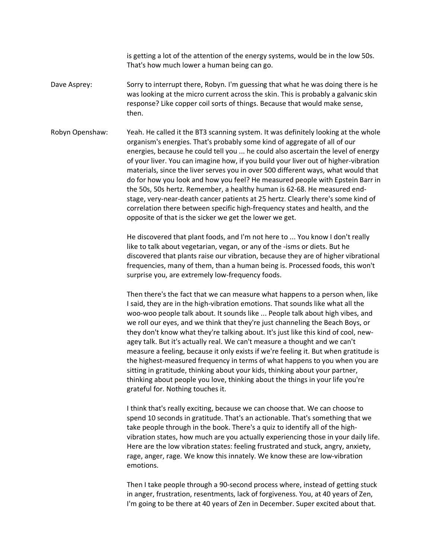is getting a lot of the attention of the energy systems, would be in the low 50s. That's how much lower a human being can go.

- Dave Asprey: Sorry to interrupt there, Robyn. I'm guessing that what he was doing there is he was looking at the micro current across the skin. This is probably a galvanic skin response? Like copper coil sorts of things. Because that would make sense, then.
- Robyn Openshaw: Yeah. He called it the BT3 scanning system. It was definitely looking at the whole organism's energies. That's probably some kind of aggregate of all of our energies, because he could tell you ... he could also ascertain the level of energy of your liver. You can imagine how, if you build your liver out of higher-vibration materials, since the liver serves you in over 500 different ways, what would that do for how you look and how you feel? He measured people with Epstein Barr in the 50s, 50s hertz. Remember, a healthy human is 62-68. He measured endstage, very-near-death cancer patients at 25 hertz. Clearly there's some kind of correlation there between specific high-frequency states and health, and the opposite of that is the sicker we get the lower we get.

He discovered that plant foods, and I'm not here to ... You know I don't really like to talk about vegetarian, vegan, or any of the -isms or diets. But he discovered that plants raise our vibration, because they are of higher vibrational frequencies, many of them, than a human being is. Processed foods, this won't surprise you, are extremely low-frequency foods.

Then there's the fact that we can measure what happens to a person when, like I said, they are in the high-vibration emotions. That sounds like what all the woo-woo people talk about. It sounds like ... People talk about high vibes, and we roll our eyes, and we think that they're just channeling the Beach Boys, or they don't know what they're talking about. It's just like this kind of cool, newagey talk. But it's actually real. We can't measure a thought and we can't measure a feeling, because it only exists if we're feeling it. But when gratitude is the highest-measured frequency in terms of what happens to you when you are sitting in gratitude, thinking about your kids, thinking about your partner, thinking about people you love, thinking about the things in your life you're grateful for. Nothing touches it.

I think that's really exciting, because we can choose that. We can choose to spend 10 seconds in gratitude. That's an actionable. That's something that we take people through in the book. There's a quiz to identify all of the highvibration states, how much are you actually experiencing those in your daily life. Here are the low vibration states: feeling frustrated and stuck, angry, anxiety, rage, anger, rage. We know this innately. We know these are low-vibration emotions. 

Then I take people through a 90-second process where, instead of getting stuck in anger, frustration, resentments, lack of forgiveness. You, at 40 years of Zen, I'm going to be there at 40 years of Zen in December. Super excited about that.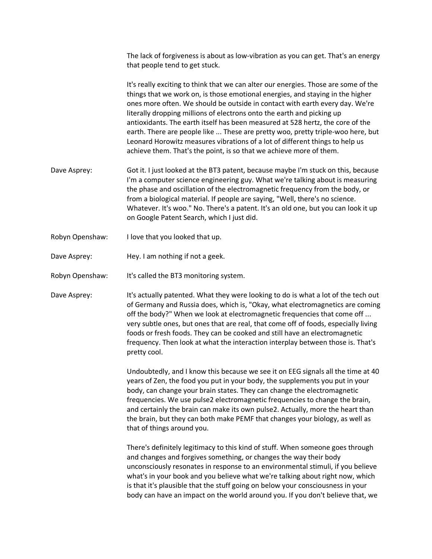The lack of forgiveness is about as low-vibration as you can get. That's an energy that people tend to get stuck.

It's really exciting to think that we can alter our energies. Those are some of the things that we work on, is those emotional energies, and staying in the higher ones more often. We should be outside in contact with earth every day. We're literally dropping millions of electrons onto the earth and picking up antioxidants. The earth itself has been measured at 528 hertz, the core of the earth. There are people like ... These are pretty woo, pretty triple-woo here, but Leonard Horowitz measures vibrations of a lot of different things to help us achieve them. That's the point, is so that we achieve more of them.

- Dave Asprey: Got it. I just looked at the BT3 patent, because maybe I'm stuck on this, because I'm a computer science engineering guy. What we're talking about is measuring the phase and oscillation of the electromagnetic frequency from the body, or from a biological material. If people are saying, "Well, there's no science. Whatever. It's woo." No. There's a patent. It's an old one, but you can look it up on Google Patent Search, which I just did.
- Robyn Openshaw: I love that you looked that up.
- Dave Asprey: Hey. I am nothing if not a geek.
- Robyn Openshaw: It's called the BT3 monitoring system.

Dave Asprey: It's actually patented. What they were looking to do is what a lot of the tech out of Germany and Russia does, which is, "Okay, what electromagnetics are coming off the body?" When we look at electromagnetic frequencies that come off ... very subtle ones, but ones that are real, that come off of foods, especially living foods or fresh foods. They can be cooked and still have an electromagnetic frequency. Then look at what the interaction interplay between those is. That's pretty cool.

> Undoubtedly, and I know this because we see it on EEG signals all the time at 40 years of Zen, the food you put in your body, the supplements you put in your body, can change your brain states. They can change the electromagnetic frequencies. We use pulse2 electromagnetic frequencies to change the brain, and certainly the brain can make its own pulse2. Actually, more the heart than the brain, but they can both make PEMF that changes your biology, as well as that of things around you.

> There's definitely legitimacy to this kind of stuff. When someone goes through and changes and forgives something, or changes the way their body unconsciously resonates in response to an environmental stimuli, if you believe what's in your book and you believe what we're talking about right now, which is that it's plausible that the stuff going on below your consciousness in your body can have an impact on the world around you. If you don't believe that, we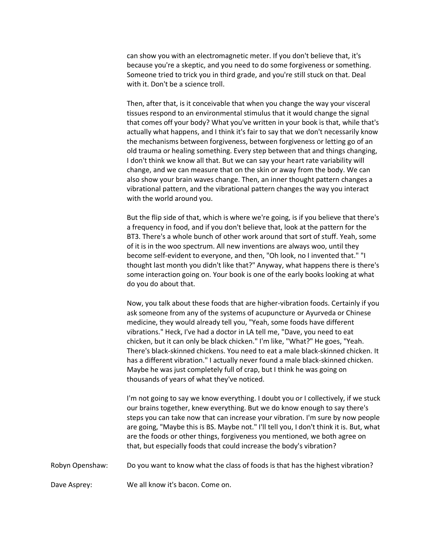can show you with an electromagnetic meter. If you don't believe that, it's because you're a skeptic, and you need to do some forgiveness or something. Someone tried to trick you in third grade, and you're still stuck on that. Deal with it. Don't be a science troll.

Then, after that, is it conceivable that when you change the way your visceral tissues respond to an environmental stimulus that it would change the signal that comes off your body? What you've written in your book is that, while that's actually what happens, and I think it's fair to say that we don't necessarily know the mechanisms between forgiveness, between forgiveness or letting go of an old trauma or healing something. Every step between that and things changing, I don't think we know all that. But we can say your heart rate variability will change, and we can measure that on the skin or away from the body. We can also show your brain waves change. Then, an inner thought pattern changes a vibrational pattern, and the vibrational pattern changes the way you interact with the world around you.

But the flip side of that, which is where we're going, is if you believe that there's a frequency in food, and if you don't believe that, look at the pattern for the BT3. There's a whole bunch of other work around that sort of stuff. Yeah, some of it is in the woo spectrum. All new inventions are always woo, until they become self-evident to everyone, and then, "Oh look, no I invented that." "I thought last month you didn't like that?" Anyway, what happens there is there's some interaction going on. Your book is one of the early books looking at what do you do about that.

Now, you talk about these foods that are higher-vibration foods. Certainly if you ask someone from any of the systems of acupuncture or Ayurveda or Chinese medicine, they would already tell you, "Yeah, some foods have different vibrations." Heck, I've had a doctor in LA tell me, "Dave, you need to eat chicken, but it can only be black chicken." I'm like, "What?" He goes, "Yeah. There's black-skinned chickens. You need to eat a male black-skinned chicken. It has a different vibration." I actually never found a male black-skinned chicken. Maybe he was just completely full of crap, but I think he was going on thousands of years of what they've noticed.

I'm not going to say we know everything. I doubt you or I collectively, if we stuck our brains together, knew everything. But we do know enough to say there's steps you can take now that can increase your vibration. I'm sure by now people are going, "Maybe this is BS. Maybe not." I'll tell you, I don't think it is. But, what are the foods or other things, forgiveness you mentioned, we both agree on that, but especially foods that could increase the body's vibration?

Robyn Openshaw: Do you want to know what the class of foods is that has the highest vibration?

Dave Asprey: We all know it's bacon. Come on.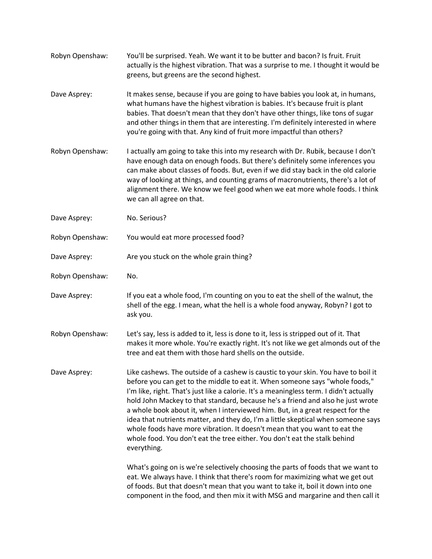Robyn Openshaw: You'll be surprised. Yeah. We want it to be butter and bacon? Is fruit. Fruit actually is the highest vibration. That was a surprise to me. I thought it would be greens, but greens are the second highest. Dave Asprey: It makes sense, because if you are going to have babies you look at, in humans, what humans have the highest vibration is babies. It's because fruit is plant babies. That doesn't mean that they don't have other things, like tons of sugar and other things in them that are interesting. I'm definitely interested in where you're going with that. Any kind of fruit more impactful than others? Robyn Openshaw: I actually am going to take this into my research with Dr. Rubik, because I don't have enough data on enough foods. But there's definitely some inferences you can make about classes of foods. But, even if we did stay back in the old calorie way of looking at things, and counting grams of macronutrients, there's a lot of alignment there. We know we feel good when we eat more whole foods. I think we can all agree on that. Dave Asprey: No. Serious? Robyn Openshaw: You would eat more processed food? Dave Asprey: external are you stuck on the whole grain thing? Robyn Openshaw: No. Dave Asprey: If you eat a whole food, I'm counting on you to eat the shell of the walnut, the shell of the egg. I mean, what the hell is a whole food anyway, Robyn? I got to ask you. Robyn Openshaw: Let's say, less is added to it, less is done to it, less is stripped out of it. That makes it more whole. You're exactly right. It's not like we get almonds out of the tree and eat them with those hard shells on the outside. Dave Asprey: Like cashews. The outside of a cashew is caustic to your skin. You have to boil it before you can get to the middle to eat it. When someone says "whole foods," I'm like, right. That's just like a calorie. It's a meaningless term. I didn't actually hold John Mackey to that standard, because he's a friend and also he just wrote a whole book about it, when I interviewed him. But, in a great respect for the idea that nutrients matter, and they do, I'm a little skeptical when someone says whole foods have more vibration. It doesn't mean that you want to eat the whole food. You don't eat the tree either. You don't eat the stalk behind everything. What's going on is we're selectively choosing the parts of foods that we want to eat. We always have. I think that there's room for maximizing what we get out of foods. But that doesn't mean that you want to take it, boil it down into one

component in the food, and then mix it with MSG and margarine and then call it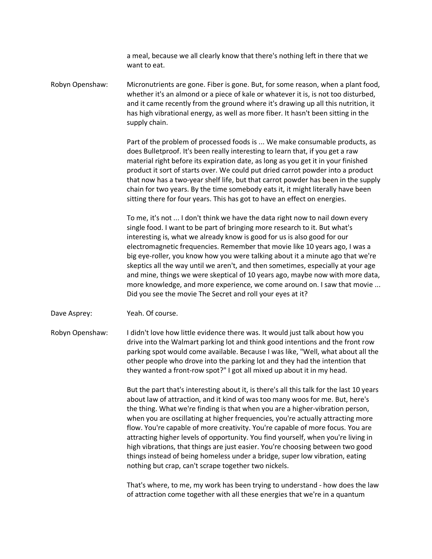a meal, because we all clearly know that there's nothing left in there that we want to eat.

Robyn Openshaw: Micronutrients are gone. Fiber is gone. But, for some reason, when a plant food, whether it's an almond or a piece of kale or whatever it is, is not too disturbed, and it came recently from the ground where it's drawing up all this nutrition, it has high vibrational energy, as well as more fiber. It hasn't been sitting in the supply chain.

> Part of the problem of processed foods is ... We make consumable products, as does Bulletproof. It's been really interesting to learn that, if you get a raw material right before its expiration date, as long as you get it in your finished product it sort of starts over. We could put dried carrot powder into a product that now has a two-year shelf life, but that carrot powder has been in the supply chain for two years. By the time somebody eats it, it might literally have been sitting there for four years. This has got to have an effect on energies.

> To me, it's not ... I don't think we have the data right now to nail down every single food. I want to be part of bringing more research to it. But what's interesting is, what we already know is good for us is also good for our electromagnetic frequencies. Remember that movie like 10 years ago, I was a big eye-roller, you know how you were talking about it a minute ago that we're skeptics all the way until we aren't, and then sometimes, especially at your age and mine, things we were skeptical of 10 years ago, maybe now with more data, more knowledge, and more experience, we come around on. I saw that movie ... Did you see the movie The Secret and roll your eyes at it?

Dave Asprey: Yeah. Of course.

Robyn Openshaw: I didn't love how little evidence there was. It would just talk about how you drive into the Walmart parking lot and think good intentions and the front row parking spot would come available. Because I was like, "Well, what about all the other people who drove into the parking lot and they had the intention that they wanted a front-row spot?" I got all mixed up about it in my head.

> But the part that's interesting about it, is there's all this talk for the last 10 years about law of attraction, and it kind of was too many woos for me. But, here's the thing. What we're finding is that when you are a higher-vibration person, when you are oscillating at higher frequencies, you're actually attracting more flow. You're capable of more creativity. You're capable of more focus. You are attracting higher levels of opportunity. You find yourself, when you're living in high vibrations, that things are just easier. You're choosing between two good things instead of being homeless under a bridge, super low vibration, eating nothing but crap, can't scrape together two nickels.

> That's where, to me, my work has been trying to understand - how does the law of attraction come together with all these energies that we're in a quantum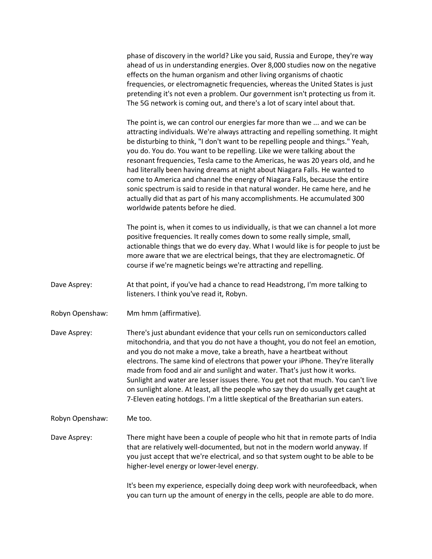phase of discovery in the world? Like you said, Russia and Europe, they're way ahead of us in understanding energies. Over 8,000 studies now on the negative effects on the human organism and other living organisms of chaotic frequencies, or electromagnetic frequencies, whereas the United States is just pretending it's not even a problem. Our government isn't protecting us from it. The 5G network is coming out, and there's a lot of scary intel about that.

The point is, we can control our energies far more than we ... and we can be attracting individuals. We're always attracting and repelling something. It might be disturbing to think, "I don't want to be repelling people and things." Yeah, you do. You do. You want to be repelling. Like we were talking about the resonant frequencies, Tesla came to the Americas, he was 20 years old, and he had literally been having dreams at night about Niagara Falls. He wanted to come to America and channel the energy of Niagara Falls, because the entire sonic spectrum is said to reside in that natural wonder. He came here, and he actually did that as part of his many accomplishments. He accumulated 300 worldwide patents before he died.

The point is, when it comes to us individually, is that we can channel a lot more positive frequencies. It really comes down to some really simple, small, actionable things that we do every day. What I would like is for people to just be more aware that we are electrical beings, that they are electromagnetic. Of course if we're magnetic beings we're attracting and repelling.

- Dave Asprey: At that point, if you've had a chance to read Headstrong, I'm more talking to listeners. I think you've read it, Robyn.
- Robyn Openshaw: Mm hmm (affirmative).

Dave Asprey: There's just abundant evidence that your cells run on semiconductors called mitochondria, and that you do not have a thought, you do not feel an emotion, and you do not make a move, take a breath, have a heartbeat without electrons. The same kind of electrons that power your iPhone. They're literally made from food and air and sunlight and water. That's just how it works. Sunlight and water are lesser issues there. You get not that much. You can't live on sunlight alone. At least, all the people who say they do usually get caught at 7-Eleven eating hotdogs. I'm a little skeptical of the Breatharian sun eaters.

## Robyn Openshaw: Me too.

Dave Asprey: There might have been a couple of people who hit that in remote parts of India that are relatively well-documented, but not in the modern world anyway. If you just accept that we're electrical, and so that system ought to be able to be higher-level energy or lower-level energy.

> It's been my experience, especially doing deep work with neurofeedback, when you can turn up the amount of energy in the cells, people are able to do more.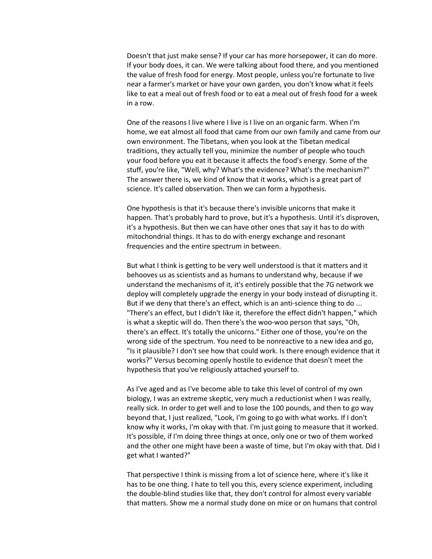Doesn't that just make sense? If your car has more horsepower, it can do more. If your body does, it can. We were talking about food there, and you mentioned the value of fresh food for energy. Most people, unless you're fortunate to live near a farmer's market or have your own garden, you don't know what it feels like to eat a meal out of fresh food or to eat a meal out of fresh food for a week in a row.

One of the reasons I live where I live is I live on an organic farm. When I'm home, we eat almost all food that came from our own family and came from our own environment. The Tibetans, when you look at the Tibetan medical traditions, they actually tell you, minimize the number of people who touch your food before you eat it because it affects the food's energy. Some of the stuff, you're like, "Well, why? What's the evidence? What's the mechanism?" The answer there is, we kind of know that it works, which is a great part of science. It's called observation. Then we can form a hypothesis.

One hypothesis is that it's because there's invisible unicorns that make it happen. That's probably hard to prove, but it's a hypothesis. Until it's disproven, it's a hypothesis. But then we can have other ones that say it has to do with mitochondrial things. It has to do with energy exchange and resonant frequencies and the entire spectrum in between.

But what I think is getting to be very well understood is that it matters and it behooves us as scientists and as humans to understand why, because if we understand the mechanisms of it, it's entirely possible that the 7G network we deploy will completely upgrade the energy in your body instead of disrupting it. But if we deny that there's an effect, which is an anti-science thing to do ... "There's an effect, but I didn't like it, therefore the effect didn't happen," which is what a skeptic will do. Then there's the woo-woo person that says, "Oh, there's an effect. It's totally the unicorns." Either one of those, you're on the wrong side of the spectrum. You need to be nonreactive to a new idea and go, "Is it plausible? I don't see how that could work. Is there enough evidence that it works?" Versus becoming openly hostile to evidence that doesn't meet the hypothesis that you've religiously attached yourself to.

As I've aged and as I've become able to take this level of control of my own biology, I was an extreme skeptic, very much a reductionist when I was really, really sick. In order to get well and to lose the 100 pounds, and then to go way beyond that, I just realized, "Look, I'm going to go with what works. If I don't know why it works, I'm okay with that. I'm just going to measure that it worked. It's possible, if I'm doing three things at once, only one or two of them worked and the other one might have been a waste of time, but I'm okay with that. Did I get what I wanted?"

That perspective I think is missing from a lot of science here, where it's like it has to be one thing. I hate to tell you this, every science experiment, including the double-blind studies like that, they don't control for almost every variable that matters. Show me a normal study done on mice or on humans that control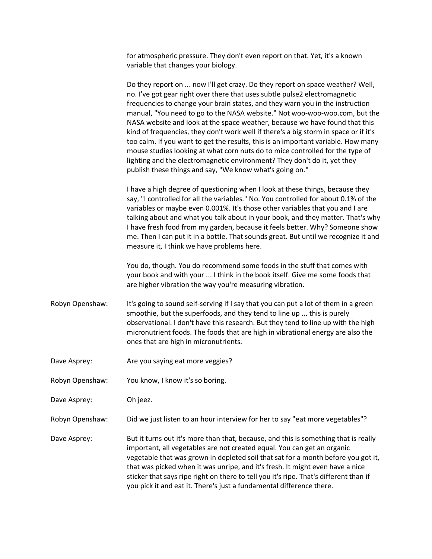for atmospheric pressure. They don't even report on that. Yet, it's a known variable that changes your biology.

Do they report on ... now I'll get crazy. Do they report on space weather? Well, no. I've got gear right over there that uses subtle pulse2 electromagnetic frequencies to change your brain states, and they warn you in the instruction manual, "You need to go to the NASA website." Not woo-woo-woo.com, but the NASA website and look at the space weather, because we have found that this kind of frequencies, they don't work well if there's a big storm in space or if it's too calm. If you want to get the results, this is an important variable. How many mouse studies looking at what corn nuts do to mice controlled for the type of lighting and the electromagnetic environment? They don't do it, yet they publish these things and say, "We know what's going on."

I have a high degree of questioning when I look at these things, because they say, "I controlled for all the variables." No. You controlled for about 0.1% of the variables or maybe even 0.001%. It's those other variables that you and I are talking about and what you talk about in your book, and they matter. That's why I have fresh food from my garden, because it feels better. Why? Someone show me. Then I can put it in a bottle. That sounds great. But until we recognize it and measure it, I think we have problems here.

You do, though. You do recommend some foods in the stuff that comes with your book and with your ... I think in the book itself. Give me some foods that are higher vibration the way you're measuring vibration.

- Robyn Openshaw: It's going to sound self-serving if I say that you can put a lot of them in a green smoothie, but the superfoods, and they tend to line up ... this is purely observational. I don't have this research. But they tend to line up with the high micronutrient foods. The foods that are high in vibrational energy are also the ones that are high in micronutrients.
- Dave Asprey: Notice Are you saying eat more veggies?
- Robyn Openshaw: You know, I know it's so boring.

Dave Asprey: Oh jeez.

Robyn Openshaw: Did we just listen to an hour interview for her to say "eat more vegetables"?

Dave Asprey: But it turns out it's more than that, because, and this is something that is really important, all vegetables are not created equal. You can get an organic vegetable that was grown in depleted soil that sat for a month before you got it, that was picked when it was unripe, and it's fresh. It might even have a nice sticker that says ripe right on there to tell you it's ripe. That's different than if you pick it and eat it. There's just a fundamental difference there.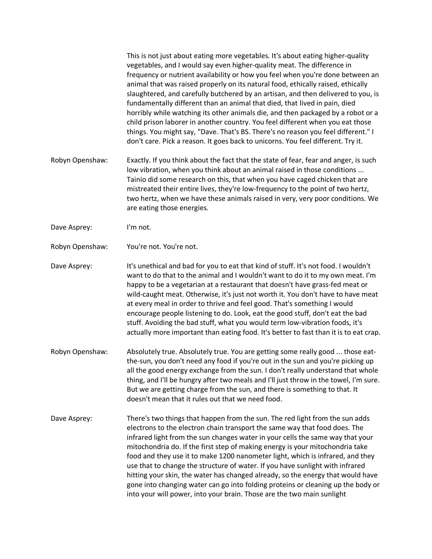This is not just about eating more vegetables. It's about eating higher-quality vegetables, and I would say even higher-quality meat. The difference in frequency or nutrient availability or how you feel when you're done between an animal that was raised properly on its natural food, ethically raised, ethically slaughtered, and carefully butchered by an artisan, and then delivered to you, is fundamentally different than an animal that died, that lived in pain, died horribly while watching its other animals die, and then packaged by a robot or a child prison laborer in another country. You feel different when you eat those things. You might say, "Dave. That's BS. There's no reason you feel different." I don't care. Pick a reason. It goes back to unicorns. You feel different. Try it.

- Robyn Openshaw: Exactly. If you think about the fact that the state of fear, fear and anger, is such low vibration, when you think about an animal raised in those conditions ... Tainio did some research on this, that when you have caged chicken that are mistreated their entire lives, they're low-frequency to the point of two hertz, two hertz, when we have these animals raised in very, very poor conditions. We are eating those energies.
- Dave Asprey: I'm not.
- Robyn Openshaw: You're not. You're not.

Dave Asprey: It's unethical and bad for you to eat that kind of stuff. It's not food. I wouldn't want to do that to the animal and I wouldn't want to do it to my own meat. I'm happy to be a vegetarian at a restaurant that doesn't have grass-fed meat or wild-caught meat. Otherwise, it's just not worth it. You don't have to have meat at every meal in order to thrive and feel good. That's something I would encourage people listening to do. Look, eat the good stuff, don't eat the bad stuff. Avoiding the bad stuff, what you would term low-vibration foods, it's actually more important than eating food. It's better to fast than it is to eat crap.

- Robyn Openshaw: Absolutely true. Absolutely true. You are getting some really good ... those eatthe-sun, you don't need any food if you're out in the sun and you're picking up all the good energy exchange from the sun. I don't really understand that whole thing, and I'll be hungry after two meals and I'll just throw in the towel, I'm sure. But we are getting charge from the sun, and there is something to that. It doesn't mean that it rules out that we need food.
- Dave Asprey: There's two things that happen from the sun. The red light from the sun adds electrons to the electron chain transport the same way that food does. The infrared light from the sun changes water in your cells the same way that your mitochondria do. If the first step of making energy is your mitochondria take food and they use it to make 1200 nanometer light, which is infrared, and they use that to change the structure of water. If you have sunlight with infrared hitting your skin, the water has changed already, so the energy that would have gone into changing water can go into folding proteins or cleaning up the body or into your will power, into your brain. Those are the two main sunlight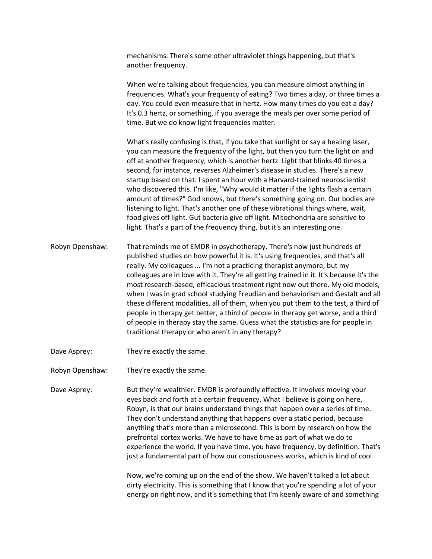mechanisms. There's some other ultraviolet things happening, but that's another frequency.

When we're talking about frequencies, you can measure almost anything in frequencies. What's your frequency of eating? Two times a day, or three times a day. You could even measure that in hertz. How many times do you eat a day? It's 0.3 hertz, or something, if you average the meals per over some period of time. But we do know light frequencies matter.

What's really confusing is that, if you take that sunlight or say a healing laser, you can measure the frequency of the light, but then you turn the light on and off at another frequency, which is another hertz. Light that blinks 40 times a second, for instance, reverses Alzheimer's disease in studies. There's a new startup based on that. I spent an hour with a Harvard-trained neuroscientist who discovered this. I'm like, "Why would it matter if the lights flash a certain amount of times?" God knows, but there's something going on. Our bodies are listening to light. That's another one of these vibrational things where, wait, food gives off light. Gut bacteria give off light. Mitochondria are sensitive to light. That's a part of the frequency thing, but it's an interesting one.

- Robyn Openshaw: That reminds me of EMDR in psychotherapy. There's now just hundreds of published studies on how powerful it is. It's using frequencies, and that's all really. My colleagues ... I'm not a practicing therapist anymore, but my colleagues are in love with it. They're all getting trained in it. It's because it's the most research-based, efficacious treatment right now out there. My old models, when I was in grad school studying Freudian and behaviorism and Gestalt and all these different modalities, all of them, when you put them to the test, a third of people in therapy get better, a third of people in therapy get worse, and a third of people in therapy stay the same. Guess what the statistics are for people in traditional therapy or who aren't in any therapy?
- Dave Asprey: They're exactly the same.
- Robyn Openshaw: They're exactly the same.

Dave Asprey: But they're wealthier. EMDR is profoundly effective. It involves moving your eyes back and forth at a certain frequency. What I believe is going on here, Robyn, is that our brains understand things that happen over a series of time. They don't understand anything that happens over a static period, because anything that's more than a microsecond. This is born by research on how the prefrontal cortex works. We have to have time as part of what we do to experience the world. If you have time, you have frequency, by definition. That's just a fundamental part of how our consciousness works, which is kind of cool.

> Now, we're coming up on the end of the show. We haven't talked a lot about dirty electricity. This is something that I know that you're spending a lot of your energy on right now, and it's something that I'm keenly aware of and something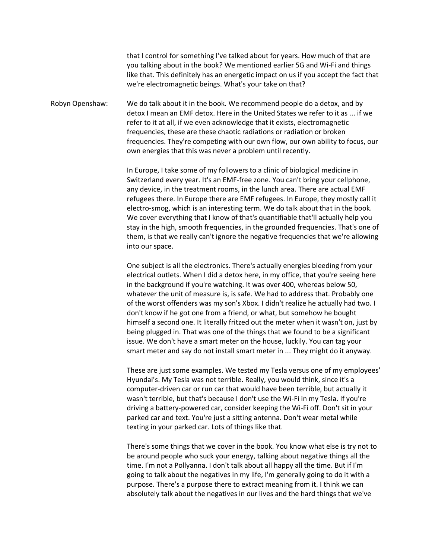that I control for something I've talked about for years. How much of that are you talking about in the book? We mentioned earlier 5G and Wi-Fi and things like that. This definitely has an energetic impact on us if you accept the fact that we're electromagnetic beings. What's your take on that?

Robyn Openshaw: We do talk about it in the book. We recommend people do a detox, and by detox I mean an EMF detox. Here in the United States we refer to it as ... if we refer to it at all, if we even acknowledge that it exists, electromagnetic frequencies, these are these chaotic radiations or radiation or broken frequencies. They're competing with our own flow, our own ability to focus, our own energies that this was never a problem until recently.

> In Europe, I take some of my followers to a clinic of biological medicine in Switzerland every year. It's an EMF-free zone. You can't bring your cellphone, any device, in the treatment rooms, in the lunch area. There are actual EMF refugees there. In Europe there are EMF refugees. In Europe, they mostly call it electro-smog, which is an interesting term. We do talk about that in the book. We cover everything that I know of that's quantifiable that'll actually help you stay in the high, smooth frequencies, in the grounded frequencies. That's one of them, is that we really can't ignore the negative frequencies that we're allowing into our space.

> One subject is all the electronics. There's actually energies bleeding from your electrical outlets. When I did a detox here, in my office, that you're seeing here in the background if you're watching. It was over 400, whereas below 50, whatever the unit of measure is, is safe. We had to address that. Probably one of the worst offenders was my son's Xbox. I didn't realize he actually had two. I don't know if he got one from a friend, or what, but somehow he bought himself a second one. It literally fritzed out the meter when it wasn't on, just by being plugged in. That was one of the things that we found to be a significant issue. We don't have a smart meter on the house, luckily. You can tag your smart meter and say do not install smart meter in ... They might do it anyway.

> These are just some examples. We tested my Tesla versus one of my employees' Hyundai's. My Tesla was not terrible. Really, you would think, since it's a computer-driven car or run car that would have been terrible, but actually it wasn't terrible, but that's because I don't use the Wi-Fi in my Tesla. If you're driving a battery-powered car, consider keeping the Wi-Fi off. Don't sit in your parked car and text. You're just a sitting antenna. Don't wear metal while texting in your parked car. Lots of things like that.

There's some things that we cover in the book. You know what else is try not to be around people who suck your energy, talking about negative things all the time. I'm not a Pollyanna. I don't talk about all happy all the time. But if I'm going to talk about the negatives in my life, I'm generally going to do it with a purpose. There's a purpose there to extract meaning from it. I think we can absolutely talk about the negatives in our lives and the hard things that we've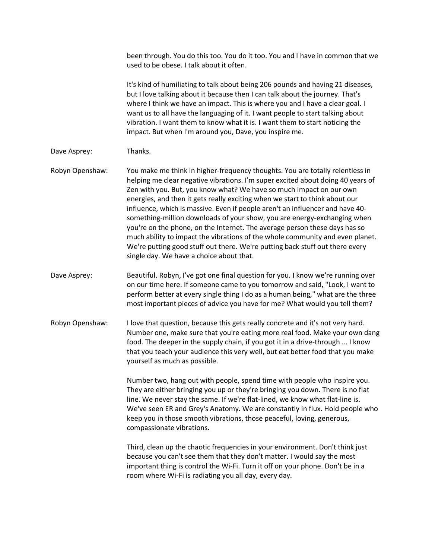been through. You do this too. You do it too. You and I have in common that we used to be obese. I talk about it often.

It's kind of humiliating to talk about being 206 pounds and having 21 diseases, but I love talking about it because then I can talk about the journey. That's where I think we have an impact. This is where you and I have a clear goal. I want us to all have the languaging of it. I want people to start talking about vibration. I want them to know what it is. I want them to start noticing the impact. But when I'm around you, Dave, you inspire me.

- Dave Asprey: Thanks.
- Robyn Openshaw: You make me think in higher-frequency thoughts. You are totally relentless in helping me clear negative vibrations. I'm super excited about doing 40 years of Zen with you. But, you know what? We have so much impact on our own energies, and then it gets really exciting when we start to think about our influence, which is massive. Even if people aren't an influencer and have 40something-million downloads of your show, you are energy-exchanging when you're on the phone, on the Internet. The average person these days has so much ability to impact the vibrations of the whole community and even planet. We're putting good stuff out there. We're putting back stuff out there every single day. We have a choice about that.
- Dave Asprey: Beautiful. Robyn, I've got one final question for you. I know we're running over on our time here. If someone came to you tomorrow and said, "Look, I want to perform better at every single thing I do as a human being," what are the three most important pieces of advice you have for me? What would you tell them?
- Robyn Openshaw: I love that question, because this gets really concrete and it's not very hard. Number one, make sure that you're eating more real food. Make your own dang food. The deeper in the supply chain, if you got it in a drive-through ... I know that you teach your audience this very well, but eat better food that you make yourself as much as possible.

Number two, hang out with people, spend time with people who inspire you. They are either bringing you up or they're bringing you down. There is no flat line. We never stay the same. If we're flat-lined, we know what flat-line is. We've seen ER and Grey's Anatomy. We are constantly in flux. Hold people who keep you in those smooth vibrations, those peaceful, loving, generous, compassionate vibrations.

Third, clean up the chaotic frequencies in your environment. Don't think just because you can't see them that they don't matter. I would say the most important thing is control the Wi-Fi. Turn it off on your phone. Don't be in a room where Wi-Fi is radiating you all day, every day.